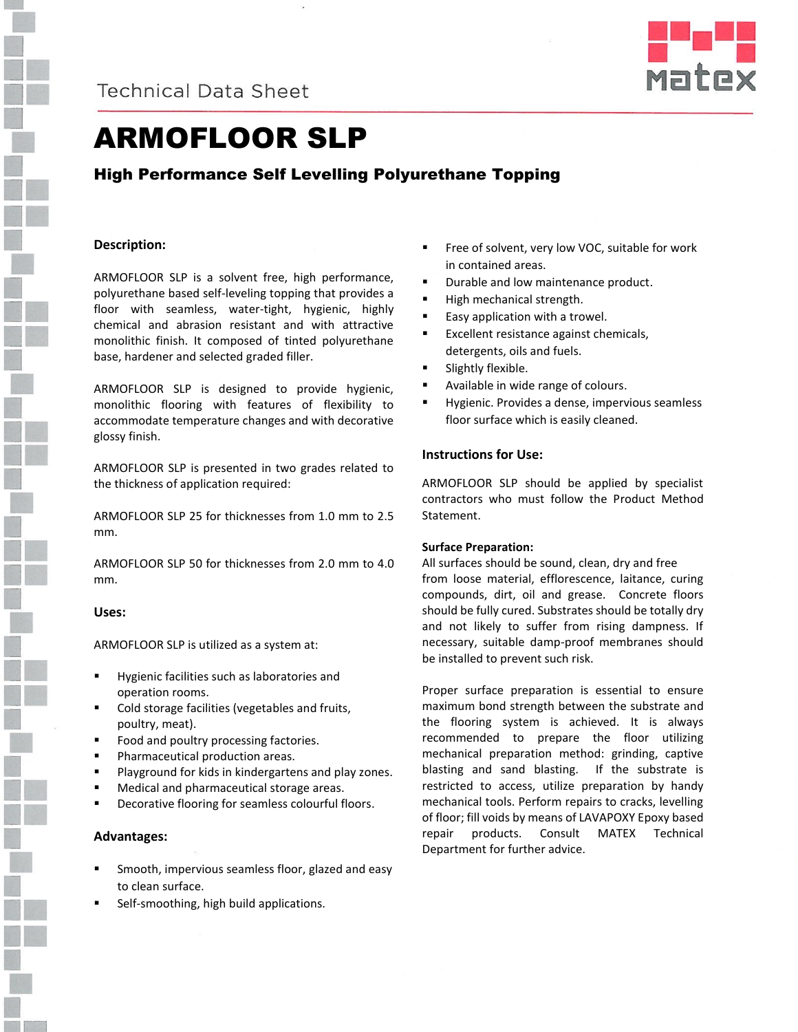



# ARMOFLOOR SLP

# High Performance Self Levelling Polyurethane Topping

## **Description:**

ARMOFLOOR SLP is a solvent free, high performance, polyurethane based self-leveling topping that provides a floor with seamless, water-tight, hygienic, highly chemical and abrasion resistant and with attractive monolithic finish. It composed of tinted polyurethane base, hardener and selected graded filler.

ARMOFLOOR SLP is designed to provide hygienic, monolithic flooring with features of flexibility to accommodate temperature changes and with decorative glossy finish.

ARMOFLOOR SLP is presented in two grades related to the thickness of application required:

ARMOFLOOR SLP 25 for thicknesses from 1.0 mm to 2.5 mm.

ARMOFLOOR SLP 50 for thicknesses from 2.0 mm to 4.0 mm.

## **Uses:**

ARMOFLOOR SLP is utilized as a system at:

- Hygienic facilities such as laboratories and operation rooms.
- Cold storage facilities (vegetables and fruits, poultry, meat).
- Food and poultry processing factories.
- Pharmaceutical production areas.
- Playground for kids in kindergartens and play zones.
- Medical and pharmaceutical storage areas.
- Decorative flooring for seamless colourful floors.

## **Advantages:**

- Smooth, impervious seamless floor, glazed and easy to clean surface.
- Self-smoothing, high build applications.
- Free of solvent, very low VOC, suitable for work in contained areas.
- Durable and low maintenance product.
- High mechanical strength.
- Easy application with a trowel.
- Excellent resistance against chemicals, detergents, oils and fuels.
- Slightly flexible.
- Available in wide range of colours.
- Hygienic. Provides a dense, impervious seamless floor surface which is easily cleaned.

#### **Instructions for Use:**

ARMOFLOOR SLP should be applied by specialist contractors who must follow the Product Method Statement.

#### **Surface Preparation:**

All surfaces should be sound, clean, dry and free from loose material, efflorescence, laitance, curing compounds, dirt, oil and grease. Concrete floors should be fully cured. Substrates should be totally dry and not likely to suffer from rising dampness. If necessary, suitable damp-proof membranes should be installed to prevent such risk.

Proper surface preparation is essential to ensure maximum bond strength between the substrate and the flooring system is achieved. It is always recommended to prepare the floor utilizing mechanical preparation method: grinding, captive blasting and sand blasting. If the substrate is restricted to access, utilize preparation by handy mechanical tools. Perform repairs to cracks, levelling of floor; fill voids by means of LAVAPOXY Epoxy based repair products. Consult MATEX Technical Department for further advice.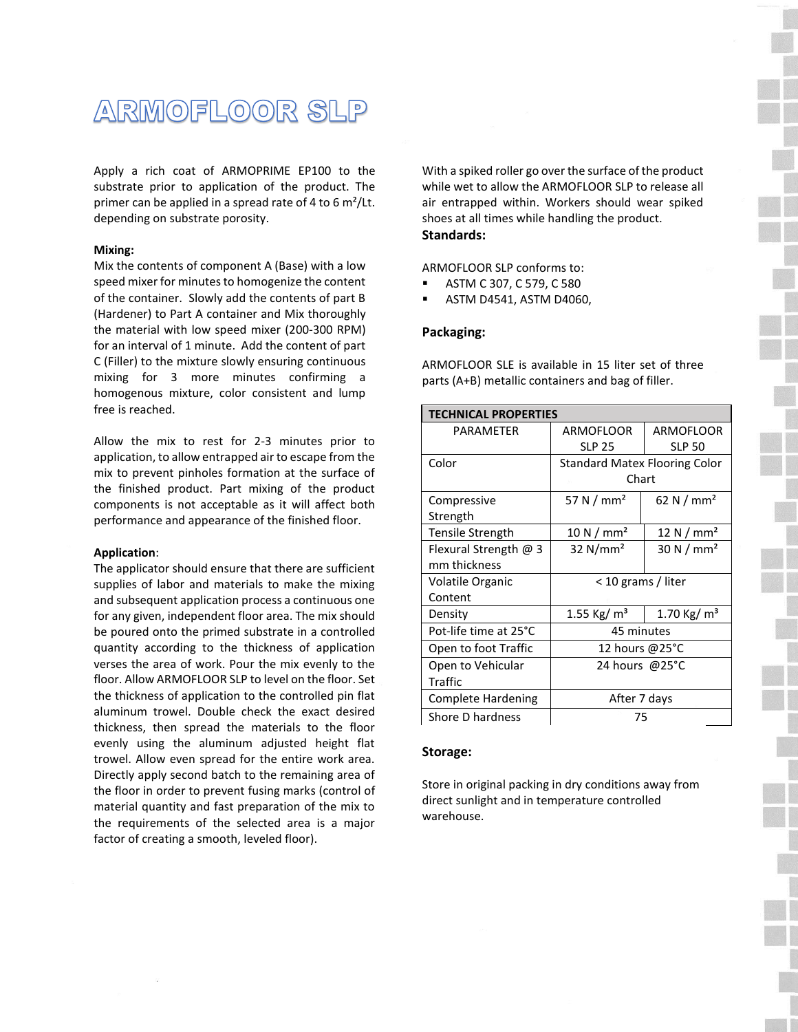

Apply a rich coat of ARMOPRIME EP100 to the substrate prior to application of the product. The primer can be applied in a spread rate of 4 to 6  $m^2$ /Lt. depending on substrate porosity.

#### **Mixing:**

Mix the contents of component A (Base) with a low speed mixer for minutes to homogenize the content of the container. Slowly add the contents of part B (Hardener) to Part A container and Mix thoroughly the material with low speed mixer (200-300 RPM) for an interval of 1 minute. Add the content of part C (Filler) to the mixture slowly ensuring continuous mixing for 3 more minutes confirming a homogenous mixture, color consistent and lump free is reached.

Allow the mix to rest for 2-3 minutes prior to application, to allow entrapped air to escape from the mix to prevent pinholes formation at the surface of the finished product. Part mixing of the product components is not acceptable as it will affect both performance and appearance of the finished floor.

#### **Application**:

The applicator should ensure that there are sufficient supplies of labor and materials to make the mixing and subsequent application process a continuous one for any given, independent floor area. The mix should be poured onto the primed substrate in a controlled quantity according to the thickness of application verses the area of work. Pour the mix evenly to the floor. Allow ARMOFLOOR SLP to level on the floor. Set the thickness of application to the controlled pin flat aluminum trowel. Double check the exact desired thickness, then spread the materials to the floor evenly using the aluminum adjusted height flat trowel. Allow even spread for the entire work area. Directly apply second batch to the remaining area of the floor in order to prevent fusing marks (control of material quantity and fast preparation of the mix to the requirements of the selected area is a major factor of creating a smooth, leveled floor).

With a spiked roller go over the surface of the product while wet to allow the ARMOFLOOR SLP to release all air entrapped within. Workers should wear spiked shoes at all times while handling the product. **Standards:**

ARMOFLOOR SLP conforms to:

- ASTM C 307, C 579, C 580
- ASTM D4541, ASTM D4060,

#### **Packaging:**

ARMOFLOOR SLE is available in 15 liter set of three parts (A+B) metallic containers and bag of filler.

| <b>TECHNICAL PROPERTIES</b> |                                      |                      |  |
|-----------------------------|--------------------------------------|----------------------|--|
| PARAMFTFR                   | ARMOFLOOR                            | ARMOFLOOR            |  |
|                             | <b>SLP 25</b>                        | <b>SLP 50</b>        |  |
| Color                       | <b>Standard Matex Flooring Color</b> |                      |  |
|                             | Chart                                |                      |  |
| Compressive                 | 57 N / $mm2$                         | 62 N $/mm2$          |  |
| Strength                    |                                      |                      |  |
| Tensile Strength            | 10 N/mm <sup>2</sup>                 | 12 N / $mm2$         |  |
| Flexural Strength $@$ 3     | $32$ N/mm <sup>2</sup>               | 30 N/mm <sup>2</sup> |  |
| mm thickness                |                                      |                      |  |
| Volatile Organic            | < 10 grams / liter                   |                      |  |
| Content                     |                                      |                      |  |
| Density                     | 1.55 Kg/ $m3$                        | 1.70 Kg/ $m3$        |  |
| Pot-life time at 25°C       | 45 minutes                           |                      |  |
| Open to foot Traffic        | 12 hours @25°C                       |                      |  |
| Open to Vehicular           | 24 hours @25°C                       |                      |  |
| Traffic                     |                                      |                      |  |
| <b>Complete Hardening</b>   | After 7 days                         |                      |  |
| Shore D hardness            | 75                                   |                      |  |

#### **Storage:**

Store in original packing in dry conditions away from direct sunlight and in temperature controlled warehouse.